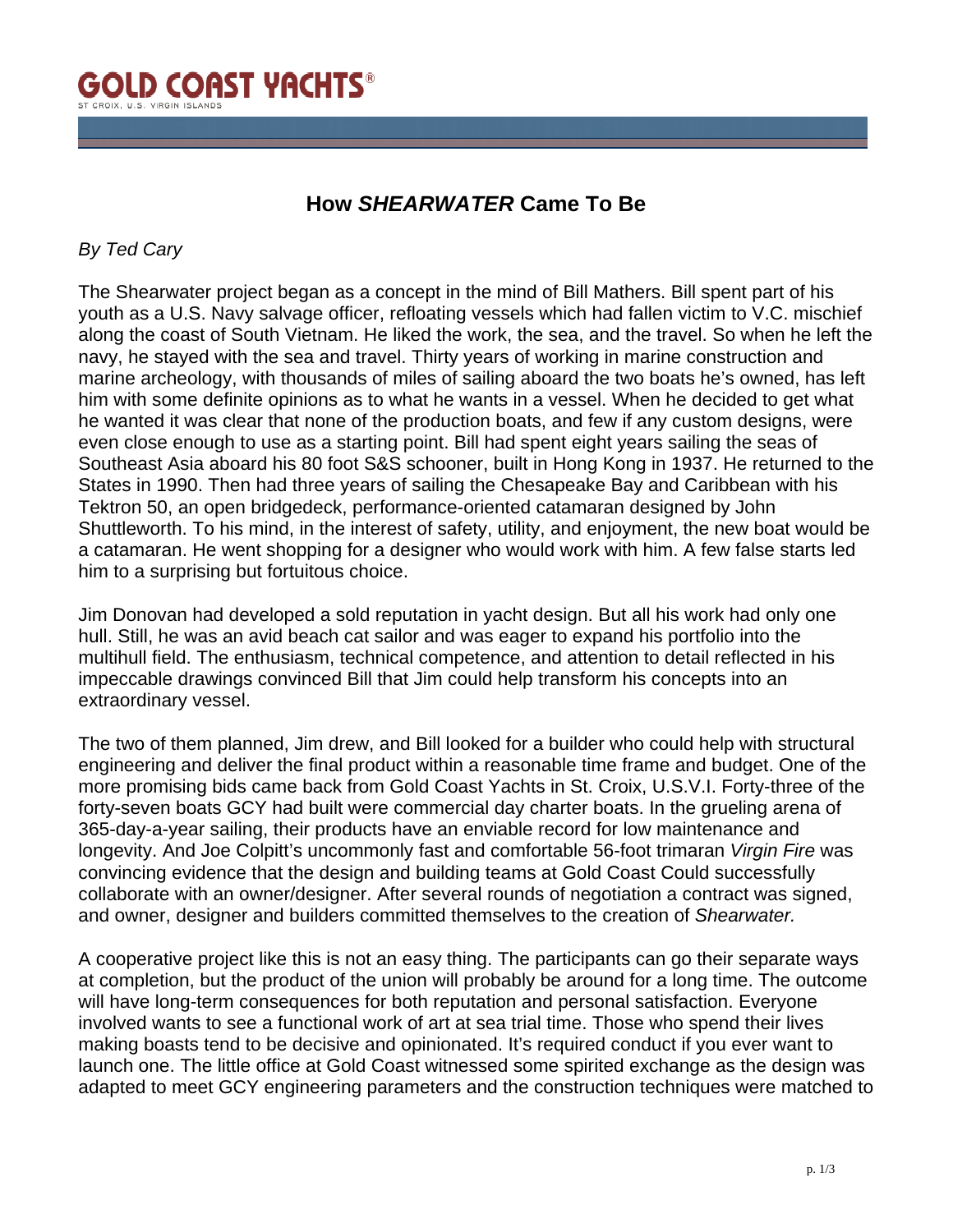

## **How** *SHEARWATER* **Came To Be**

## *By Ted Cary*

The Shearwater project began as a concept in the mind of Bill Mathers. Bill spent part of his youth as a U.S. Navy salvage officer, refloating vessels which had fallen victim to V.C. mischief along the coast of South Vietnam. He liked the work, the sea, and the travel. So when he left the navy, he stayed with the sea and travel. Thirty years of working in marine construction and marine archeology, with thousands of miles of sailing aboard the two boats he's owned, has left him with some definite opinions as to what he wants in a vessel. When he decided to get what he wanted it was clear that none of the production boats, and few if any custom designs, were even close enough to use as a starting point. Bill had spent eight years sailing the seas of Southeast Asia aboard his 80 foot S&S schooner, built in Hong Kong in 1937. He returned to the States in 1990. Then had three years of sailing the Chesapeake Bay and Caribbean with his Tektron 50, an open bridgedeck, performance-oriented catamaran designed by John Shuttleworth. To his mind, in the interest of safety, utility, and enjoyment, the new boat would be a catamaran. He went shopping for a designer who would work with him. A few false starts led him to a surprising but fortuitous choice.

Jim Donovan had developed a sold reputation in yacht design. But all his work had only one hull. Still, he was an avid beach cat sailor and was eager to expand his portfolio into the multihull field. The enthusiasm, technical competence, and attention to detail reflected in his impeccable drawings convinced Bill that Jim could help transform his concepts into an extraordinary vessel.

The two of them planned, Jim drew, and Bill looked for a builder who could help with structural engineering and deliver the final product within a reasonable time frame and budget. One of the more promising bids came back from Gold Coast Yachts in St. Croix, U.S.V.I. Forty-three of the forty-seven boats GCY had built were commercial day charter boats. In the grueling arena of 365-day-a-year sailing, their products have an enviable record for low maintenance and longevity. And Joe Colpitt's uncommonly fast and comfortable 56-foot trimaran *Virgin Fire* was convincing evidence that the design and building teams at Gold Coast Could successfully collaborate with an owner/designer. After several rounds of negotiation a contract was signed, and owner, designer and builders committed themselves to the creation of *Shearwater.*

A cooperative project like this is not an easy thing. The participants can go their separate ways at completion, but the product of the union will probably be around for a long time. The outcome will have long-term consequences for both reputation and personal satisfaction. Everyone involved wants to see a functional work of art at sea trial time. Those who spend their lives making boasts tend to be decisive and opinionated. It's required conduct if you ever want to launch one. The little office at Gold Coast witnessed some spirited exchange as the design was adapted to meet GCY engineering parameters and the construction techniques were matched to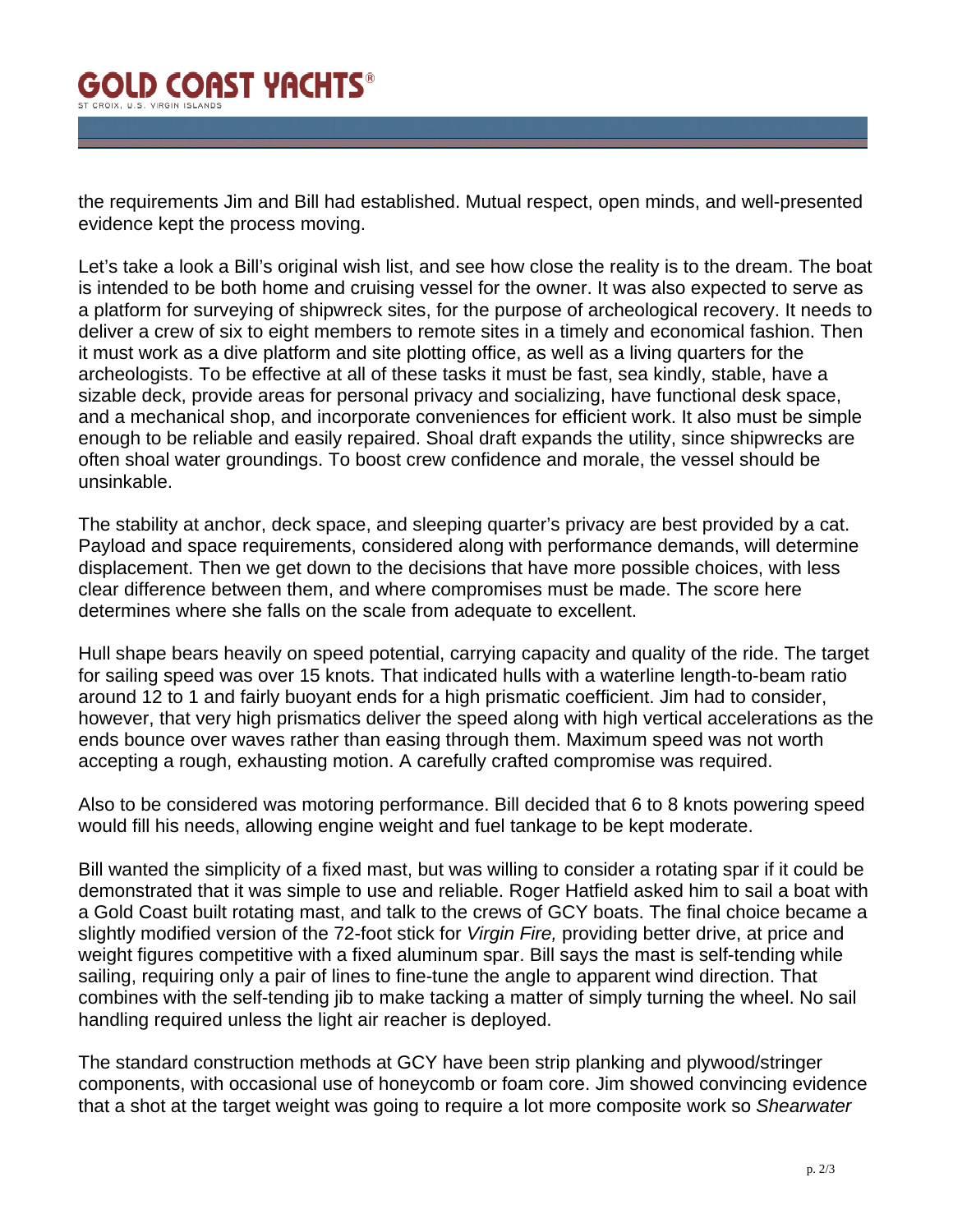## **GOLD COAST YACHTS®** T CROIX II S VIRGIN ISLAND

the requirements Jim and Bill had established. Mutual respect, open minds, and well-presented evidence kept the process moving.

Let's take a look a Bill's original wish list, and see how close the reality is to the dream. The boat is intended to be both home and cruising vessel for the owner. It was also expected to serve as a platform for surveying of shipwreck sites, for the purpose of archeological recovery. It needs to deliver a crew of six to eight members to remote sites in a timely and economical fashion. Then it must work as a dive platform and site plotting office, as well as a living quarters for the archeologists. To be effective at all of these tasks it must be fast, sea kindly, stable, have a sizable deck, provide areas for personal privacy and socializing, have functional desk space, and a mechanical shop, and incorporate conveniences for efficient work. It also must be simple enough to be reliable and easily repaired. Shoal draft expands the utility, since shipwrecks are often shoal water groundings. To boost crew confidence and morale, the vessel should be unsinkable.

The stability at anchor, deck space, and sleeping quarter's privacy are best provided by a cat. Payload and space requirements, considered along with performance demands, will determine displacement. Then we get down to the decisions that have more possible choices, with less clear difference between them, and where compromises must be made. The score here determines where she falls on the scale from adequate to excellent.

Hull shape bears heavily on speed potential, carrying capacity and quality of the ride. The target for sailing speed was over 15 knots. That indicated hulls with a waterline length-to-beam ratio around 12 to 1 and fairly buoyant ends for a high prismatic coefficient. Jim had to consider, however, that very high prismatics deliver the speed along with high vertical accelerations as the ends bounce over waves rather than easing through them. Maximum speed was not worth accepting a rough, exhausting motion. A carefully crafted compromise was required.

Also to be considered was motoring performance. Bill decided that 6 to 8 knots powering speed would fill his needs, allowing engine weight and fuel tankage to be kept moderate.

Bill wanted the simplicity of a fixed mast, but was willing to consider a rotating spar if it could be demonstrated that it was simple to use and reliable. Roger Hatfield asked him to sail a boat with a Gold Coast built rotating mast, and talk to the crews of GCY boats. The final choice became a slightly modified version of the 72-foot stick for *Virgin Fire,* providing better drive, at price and weight figures competitive with a fixed aluminum spar. Bill says the mast is self-tending while sailing, requiring only a pair of lines to fine-tune the angle to apparent wind direction. That combines with the self-tending jib to make tacking a matter of simply turning the wheel. No sail handling required unless the light air reacher is deployed.

The standard construction methods at GCY have been strip planking and plywood/stringer components, with occasional use of honeycomb or foam core. Jim showed convincing evidence that a shot at the target weight was going to require a lot more composite work so *Shearwater*